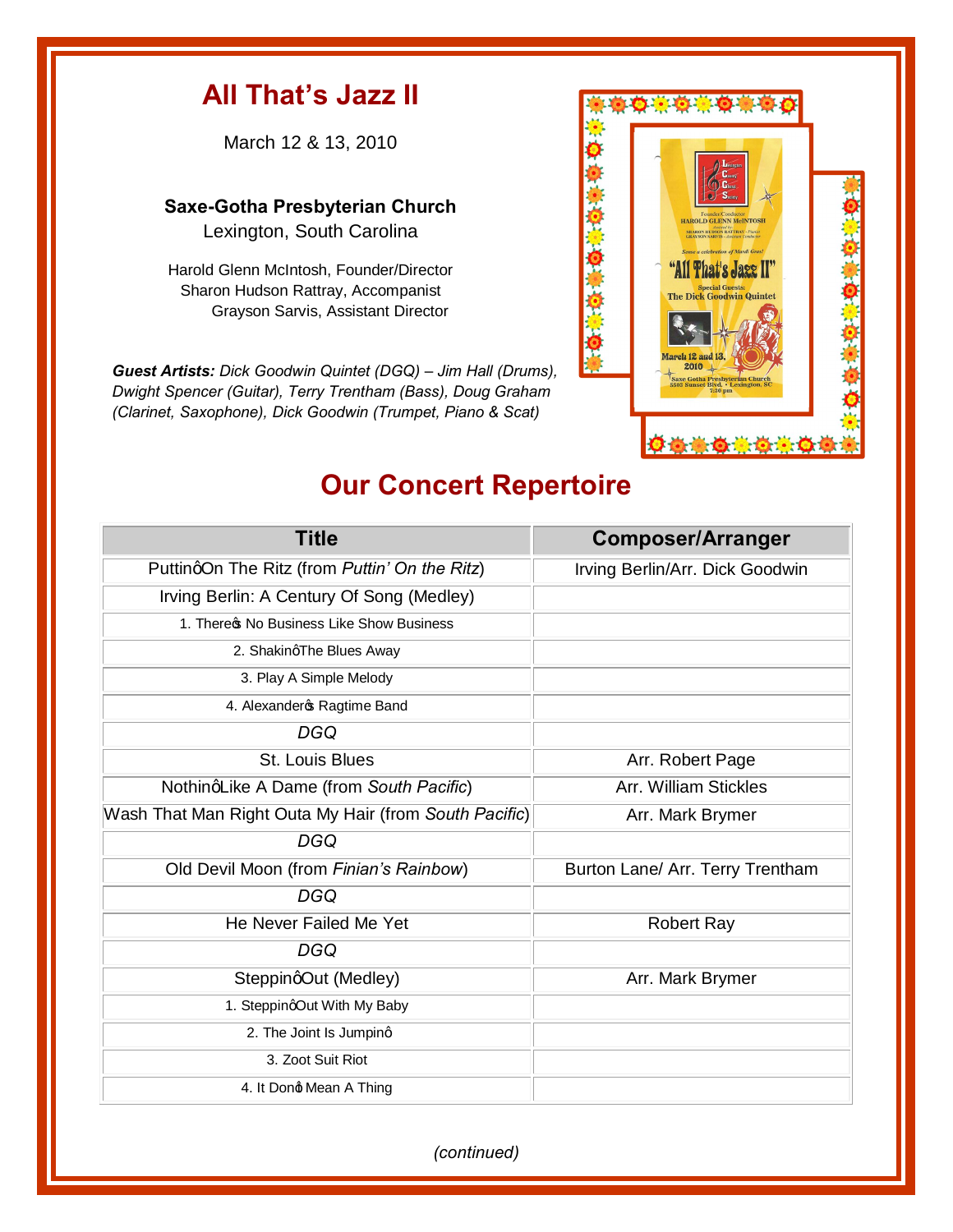## **All That's Jazz II**

March 12 & 13, 2010

**Saxe-Gotha Presbyterian Church**  Lexington, South Carolina

Harold Glenn McIntosh, Founder/Director Sharon Hudson Rattray, Accompanist Grayson Sarvis, Assistant Director

*Guest Artists: Dick Goodwin Quintet (DGQ) – Jim Hall (Drums), Dwight Spencer (Guitar), Terry Trentham (Bass), Doug Graham (Clarinet, Saxophone), Dick Goodwin (Trumpet, Piano & Scat)*



## **Our Concert Repertoire**

| <b>Title</b>                                          | <b>Composer/Arranger</b>         |
|-------------------------------------------------------|----------------------------------|
| PuttingOn The Ritz (from Puttin' On the Ritz)         | Irving Berlin/Arr. Dick Goodwin  |
| Irving Berlin: A Century Of Song (Medley)             |                                  |
| 1. There & No Business Like Show Business             |                                  |
| 2. ShakingThe Blues Away                              |                                  |
| 3. Play A Simple Melody                               |                                  |
| 4. Alexander & Ragtime Band                           |                                  |
| DGQ                                                   |                                  |
| St. Louis Blues                                       | Arr. Robert Page                 |
| NothinqLike A Dame (from South Pacific)               | Arr. William Stickles            |
| Wash That Man Right Outa My Hair (from South Pacific) | Arr. Mark Brymer                 |
| <b>DGQ</b>                                            |                                  |
| Old Devil Moon (from Finian's Rainbow)                | Burton Lane/ Arr. Terry Trentham |
| DGQ                                                   |                                  |
| He Never Failed Me Yet                                | <b>Robert Ray</b>                |
| DGQ                                                   |                                  |
| SteppingOut (Medley)                                  | Arr. Mark Brymer                 |
| 1. SteppingOut With My Baby                           |                                  |
| 2. The Joint Is Jumping                               |                                  |
| 3. Zoot Suit Riot                                     |                                  |
| 4. It Dong Mean A Thing                               |                                  |

*(continued)*